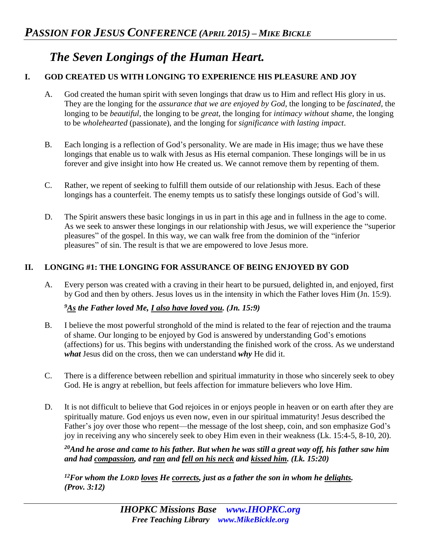# *The Seven Longings of the Human Heart.*

## **I. GOD CREATED US WITH LONGING TO EXPERIENCE HIS PLEASURE AND JOY**

- A. God created the human spirit with seven longings that draw us to Him and reflect His glory in us. They are the longing for the *assurance that we are enjoyed by God*, the longing to be *fascinated*, the longing to be *beautiful*, the longing to be *great*, the longing for *intimacy without shame*, the longing to be *wholehearted* (passionate), and the longing for *significance with lasting impact*.
- B. Each longing is a reflection of God's personality. We are made in His image; thus we have these longings that enable us to walk with Jesus as His eternal companion. These longings will be in us forever and give insight into how He created us. We cannot remove them by repenting of them.
- C. Rather, we repent of seeking to fulfill them outside of our relationship with Jesus. Each of these longings has a counterfeit. The enemy tempts us to satisfy these longings outside of God's will.
- D. The Spirit answers these basic longings in us in part in this age and in fullness in the age to come. As we seek to answer these longings in our relationship with Jesus, we will experience the "superior pleasures" of the gospel. In this way, we can walk free from the dominion of the "inferior pleasures" of sin. The result is that we are empowered to love Jesus more.

### **II. LONGING #1: THE LONGING FOR ASSURANCE OF BEING ENJOYED BY GOD**

A. Every person was created with a craving in their heart to be pursued, delighted in, and enjoyed, first by God and then by others. Jesus loves us in the intensity in which the Father loves Him (Jn. 15:9).

## *<sup>9</sup>As the Father loved Me, I also have loved you. (Jn. 15:9)*

- B. I believe the most powerful stronghold of the mind is related to the fear of rejection and the trauma of shame. Our longing to be enjoyed by God is answered by understanding God's emotions (affections) for us. This begins with understanding the finished work of the cross. As we understand *what* Jesus did on the cross, then we can understand *why* He did it.
- C. There is a difference between rebellion and spiritual immaturity in those who sincerely seek to obey God. He is angry at rebellion, but feels affection for immature believers who love Him.
- D. It is not difficult to believe that God rejoices in or enjoys people in heaven or on earth after they are spiritually mature. God enjoys us even now, even in our spiritual immaturity! Jesus described the Father's joy over those who repent—the message of the lost sheep, coin, and son emphasize God's joy in receiving any who sincerely seek to obey Him even in their weakness (Lk. 15:4-5, 8-10, 20).

*<sup>20</sup>And he arose and came to his father. But when he was still a great way off, his father saw him and had compassion, and ran and fell on his neck and kissed him. (Lk. 15:20)*

*<sup>12</sup>For whom the LORD loves He corrects, just as a father the son in whom he delights. (Prov. 3:12)*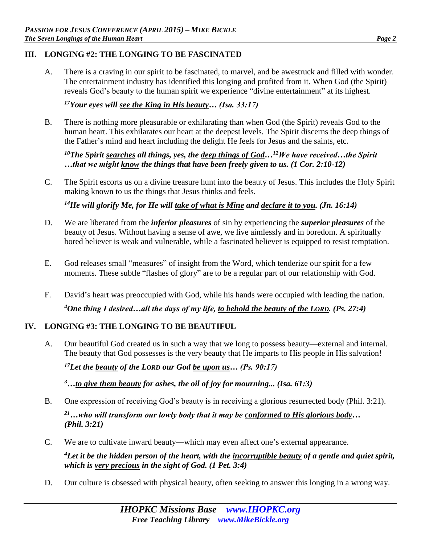#### **III. LONGING #2: THE LONGING TO BE FASCINATED**

A. There is a craving in our spirit to be fascinated, to marvel, and be awestruck and filled with wonder. The entertainment industry has identified this longing and profited from it. When God (the Spirit) reveals God's beauty to the human spirit we experience "divine entertainment" at its highest.

### *<sup>17</sup>Your eyes will see the King in His beauty… (Isa. 33:17)*

B. There is nothing more pleasurable or exhilarating than when God (the Spirit) reveals God to the human heart. This exhilarates our heart at the deepest levels. The Spirit discerns the deep things of the Father's mind and heart including the delight He feels for Jesus and the saints, etc.

*<sup>10</sup>The Spirit searches all things, yes, the deep things of God…<sup>12</sup>We have received…the Spirit …that we might know the things that have been freely given to us. (1 Cor. 2:10-12)* 

C. The Spirit escorts us on a divine treasure hunt into the beauty of Jesus. This includes the Holy Spirit making known to us the things that Jesus thinks and feels.

*<sup>14</sup>He will glorify Me, for He will take of what is Mine and declare it to you. (Jn. 16:14)* 

- D. We are liberated from the *inferior pleasures* of sin by experiencing the *superior pleasures* of the beauty of Jesus. Without having a sense of awe, we live aimlessly and in boredom. A spiritually bored believer is weak and vulnerable, while a fascinated believer is equipped to resist temptation.
- E. God releases small "measures" of insight from the Word, which tenderize our spirit for a few moments. These subtle "flashes of glory" are to be a regular part of our relationship with God.
- F. David's heart was preoccupied with God, while his hands were occupied with leading the nation. *<sup>4</sup>One thing I desired…all the days of my life, to behold the beauty of the LORD. (Ps. 27:4)*

## **IV. LONGING #3: THE LONGING TO BE BEAUTIFUL**

A. Our beautiful God created us in such a way that we long to possess beauty—external and internal. The beauty that God possesses is the very beauty that He imparts to His people in His salvation!

*<sup>17</sup>Let the beauty of the LORD our God be upon us… (Ps. 90:17)* 

*<sup>3</sup>…to give them beauty for ashes, the oil of joy for mourning... (Isa. 61:3)*

- B. One expression of receiving God's beauty is in receiving a glorious resurrected body (Phil. 3:21). *<sup>21</sup>…who will transform our lowly body that it may be conformed to His glorious body… (Phil. 3:21)*
- C. We are to cultivate inward beauty—which may even affect one's external appearance.

*<sup>4</sup>Let it be the hidden person of the heart, with the incorruptible beauty of a gentle and quiet spirit, which is very precious in the sight of God. (1 Pet. 3:4)* 

D. Our culture is obsessed with physical beauty, often seeking to answer this longing in a wrong way.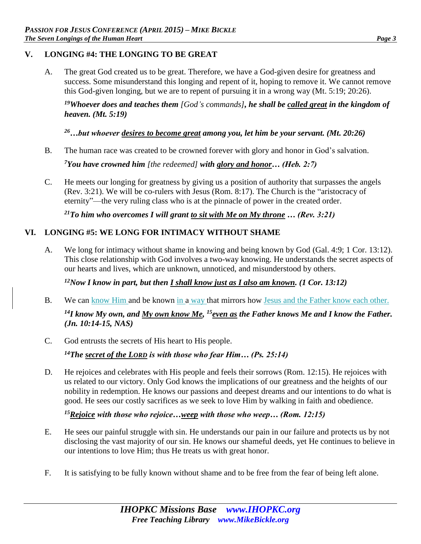#### **V. LONGING #4: THE LONGING TO BE GREAT**

A. The great God created us to be great. Therefore, we have a God-given desire for greatness and success. Some misunderstand this longing and repent of it, hoping to remove it. We cannot remove this God-given longing, but we are to repent of pursuing it in a wrong way (Mt. 5:19; 20:26).

*<sup>19</sup>Whoever does and teaches them [God's commands], he shall be called great in the kingdom of heaven. (Mt. 5:19)*

*<sup>26</sup>…but whoever desires to become great among you, let him be your servant. (Mt. 20:26)*

B. The human race was created to be crowned forever with glory and honor in God's salvation.

*<sup>7</sup>You have crowned him [the redeemed] with glory and honor… (Heb. 2:7)*

C. He meets our longing for greatness by giving us a position of authority that surpasses the angels (Rev. 3:21). We will be co-rulers with Jesus (Rom. 8:17). The Church is the "aristocracy of eternity"—the very ruling class who is at the pinnacle of power in the created order.

*<sup>21</sup>To him who overcomes I will grant to sit with Me on My throne … (Rev. 3:21)* 

## **VI. LONGING #5: WE LONG FOR INTIMACY WITHOUT SHAME**

A. We long for intimacy without shame in knowing and being known by God (Gal. 4:9; 1 Cor. 13:12). This close relationship with God involves a two-way knowing. He understands the secret aspects of our hearts and lives, which are unknown, unnoticed, and misunderstood by others.

*<sup>12</sup>Now I know in part, but then I shall know just as I also am known. (1 Cor. 13:12)*

B. We can know Him and be known in a way that mirrors how Jesus and the Father know each other.

<sup>14</sup>*I* know My own, and <u>My own know Me, <sup>15</sup>even as</u> the Father knows Me and I know the Father. *(Jn. 10:14-15, NAS)*

C. God entrusts the secrets of His heart to His people.

*<sup>14</sup>The secret of the LORD is with those who fear Him… (Ps. 25:14)* 

D. He rejoices and celebrates with His people and feels their sorrows (Rom. 12:15). He rejoices with us related to our victory. Only God knows the implications of our greatness and the heights of our nobility in redemption. He knows our passions and deepest dreams and our intentions to do what is good. He sees our costly sacrifices as we seek to love Him by walking in faith and obedience.

*<sup>15</sup>Rejoice with those who rejoice…weep with those who weep… (Rom. 12:15)*

- E. He sees our painful struggle with sin. He understands our pain in our failure and protects us by not disclosing the vast majority of our sin. He knows our shameful deeds, yet He continues to believe in our intentions to love Him; thus He treats us with great honor.
- F. It is satisfying to be fully known without shame and to be free from the fear of being left alone.